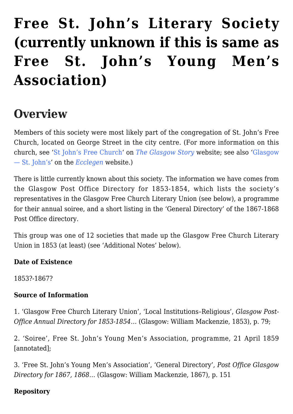# **[Free St. John's Literary Society](https://www.glasgowsliterarybonds.org/societies/free-st-johns-literary-society/) [\(currently unknown if this is same as](https://www.glasgowsliterarybonds.org/societies/free-st-johns-literary-society/) [Free St. John's Young Men's](https://www.glasgowsliterarybonds.org/societies/free-st-johns-literary-society/) [Association\)](https://www.glasgowsliterarybonds.org/societies/free-st-johns-literary-society/)**

# **Overview**

Members of this society were most likely part of the congregation of St. John's Free Church, located on George Street in the city centre. (For more information on this church, see '[St John's Free Church](http://www.theglasgowstory.com/image/?inum=TGSS00040)' on *[The Glasgow Story](http://www.theglasgowstory.com/)* website; see also '[Glasgow](http://ecclegen.com/congregations-5/) [— St. John's](http://ecclegen.com/congregations-5/)' on the *[Ecclegen](http://ecclegen.com/)* website.)

There is little currently known about this society. The information we have comes from the Glasgow Post Office Directory for 1853-1854, which lists the society's representatives in the Glasgow Free Church Literary Union (see below), a programme for their annual soiree, and a short listing in the 'General Directory' of the 1867-1868 Post Office directory.

This group was one of 12 societies that made up the Glasgow Free Church Literary Union in 1853 (at least) (see 'Additional Notes' below).

#### **Date of Existence**

1853?-1867?

#### **Source of Information**

1. 'Glasgow Free Church Literary Union', 'Local Institutions–Religious', *Glasgow Post-Office Annual Directory for 1853-1854…* (Glasgow: William Mackenzie, 1853), p. 79;

2. 'Soiree', Free St. John's Young Men's Association, programme, 21 April 1859 [annotated];

3. 'Free St. John's Young Men's Association', 'General Directory', *Post Office Glasgow Directory for 1867, 1868…* (Glasgow: William Mackenzie, 1867), p. 151

#### **Repository**